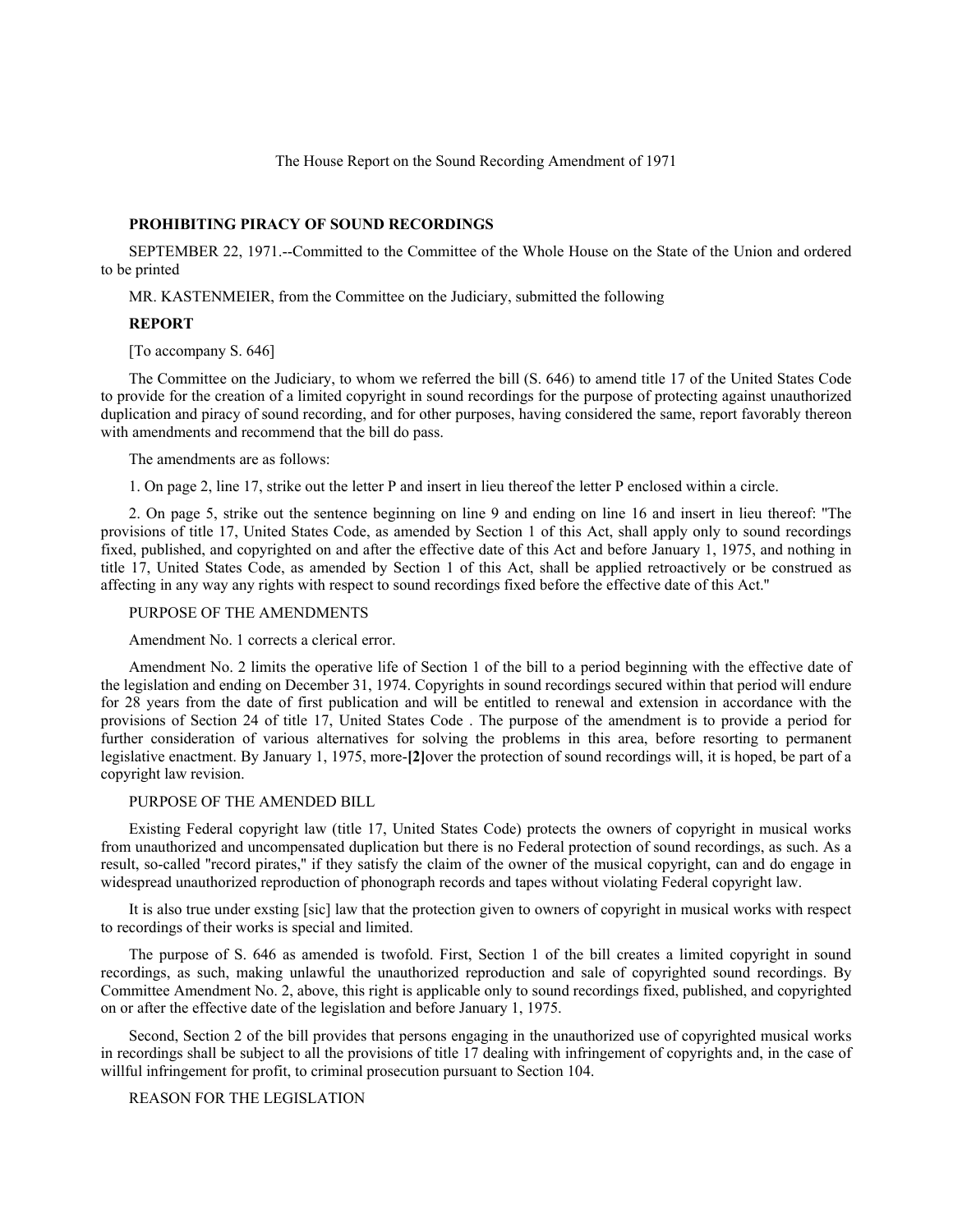The House Report on the Sound Recording Amendment of 1971

## **PROHIBITING PIRACY OF SOUND RECORDINGS**

SEPTEMBER 22, 1971.--Committed to the Committee of the Whole House on the State of the Union and ordered to be printed

MR. KASTENMEIER, from the Committee on the Judiciary, submitted the following

#### **REPORT**

[To accompany S. 646]

The Committee on the Judiciary, to whom we referred the bill (S. 646) to amend title 17 of the United States Code to provide for the creation of a limited copyright in sound recordings for the purpose of protecting against unauthorized duplication and piracy of sound recording, and for other purposes, having considered the same, report favorably thereon with amendments and recommend that the bill do pass.

The amendments are as follows:

1. On page 2, line 17, strike out the letter P and insert in lieu thereof the letter P enclosed within a circle.

2. On page 5, strike out the sentence beginning on line 9 and ending on line 16 and insert in lieu thereof: ''The provisions of title 17, United States Code, as amended by Section 1 of this Act, shall apply only to sound recordings fixed, published, and copyrighted on and after the effective date of this Act and before January 1, 1975, and nothing in title 17, United States Code, as amended by Section 1 of this Act, shall be applied retroactively or be construed as affecting in any way any rights with respect to sound recordings fixed before the effective date of this Act.''

#### PURPOSE OF THE AMENDMENTS

Amendment No. 1 corrects a clerical error.

Amendment No. 2 limits the operative life of Section 1 of the bill to a period beginning with the effective date of the legislation and ending on December 31, 1974. Copyrights in sound recordings secured within that period will endure for 28 years from the date of first publication and will be entitled to renewal and extension in accordance with the provisions of Section 24 of title 17, United States Code . The purpose of the amendment is to provide a period for further consideration of various alternatives for solving the problems in this area, before resorting to permanent legislative enactment. By January 1, 1975, more-**[2]**over the protection of sound recordings will, it is hoped, be part of a copyright law revision.

### PURPOSE OF THE AMENDED BILL

Existing Federal copyright law (title 17, United States Code) protects the owners of copyright in musical works from unauthorized and uncompensated duplication but there is no Federal protection of sound recordings, as such. As a result, so-called ''record pirates,'' if they satisfy the claim of the owner of the musical copyright, can and do engage in widespread unauthorized reproduction of phonograph records and tapes without violating Federal copyright law.

It is also true under exsting [sic] law that the protection given to owners of copyright in musical works with respect to recordings of their works is special and limited.

The purpose of S. 646 as amended is twofold. First, Section 1 of the bill creates a limited copyright in sound recordings, as such, making unlawful the unauthorized reproduction and sale of copyrighted sound recordings. By Committee Amendment No. 2, above, this right is applicable only to sound recordings fixed, published, and copyrighted on or after the effective date of the legislation and before January 1, 1975.

Second, Section 2 of the bill provides that persons engaging in the unauthorized use of copyrighted musical works in recordings shall be subject to all the provisions of title 17 dealing with infringement of copyrights and, in the case of willful infringement for profit, to criminal prosecution pursuant to Section 104.

### REASON FOR THE LEGISLATION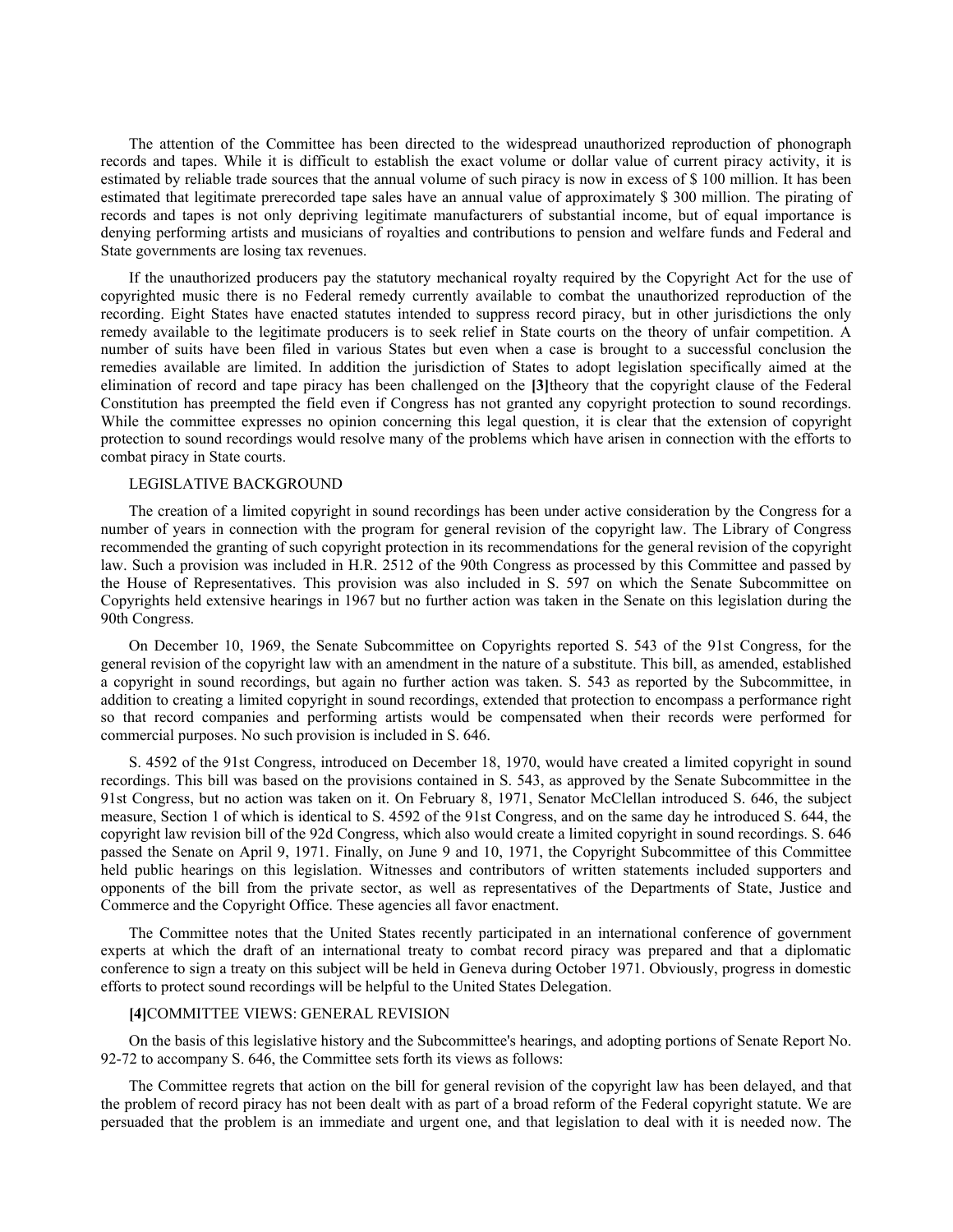The attention of the Committee has been directed to the widespread unauthorized reproduction of phonograph records and tapes. While it is difficult to establish the exact volume or dollar value of current piracy activity, it is estimated by reliable trade sources that the annual volume of such piracy is now in excess of \$ 100 million. It has been estimated that legitimate prerecorded tape sales have an annual value of approximately \$ 300 million. The pirating of records and tapes is not only depriving legitimate manufacturers of substantial income, but of equal importance is denying performing artists and musicians of royalties and contributions to pension and welfare funds and Federal and State governments are losing tax revenues.

If the unauthorized producers pay the statutory mechanical royalty required by the Copyright Act for the use of copyrighted music there is no Federal remedy currently available to combat the unauthorized reproduction of the recording. Eight States have enacted statutes intended to suppress record piracy, but in other jurisdictions the only remedy available to the legitimate producers is to seek relief in State courts on the theory of unfair competition. A number of suits have been filed in various States but even when a case is brought to a successful conclusion the remedies available are limited. In addition the jurisdiction of States to adopt legislation specifically aimed at the elimination of record and tape piracy has been challenged on the **[3]**theory that the copyright clause of the Federal Constitution has preempted the field even if Congress has not granted any copyright protection to sound recordings. While the committee expresses no opinion concerning this legal question, it is clear that the extension of copyright protection to sound recordings would resolve many of the problems which have arisen in connection with the efforts to combat piracy in State courts.

### LEGISLATIVE BACKGROUND

The creation of a limited copyright in sound recordings has been under active consideration by the Congress for a number of years in connection with the program for general revision of the copyright law. The Library of Congress recommended the granting of such copyright protection in its recommendations for the general revision of the copyright law. Such a provision was included in H.R. 2512 of the 90th Congress as processed by this Committee and passed by the House of Representatives. This provision was also included in S. 597 on which the Senate Subcommittee on Copyrights held extensive hearings in 1967 but no further action was taken in the Senate on this legislation during the 90th Congress.

On December 10, 1969, the Senate Subcommittee on Copyrights reported S. 543 of the 91st Congress, for the general revision of the copyright law with an amendment in the nature of a substitute. This bill, as amended, established a copyright in sound recordings, but again no further action was taken. S. 543 as reported by the Subcommittee, in addition to creating a limited copyright in sound recordings, extended that protection to encompass a performance right so that record companies and performing artists would be compensated when their records were performed for commercial purposes. No such provision is included in S. 646.

S. 4592 of the 91st Congress, introduced on December 18, 1970, would have created a limited copyright in sound recordings. This bill was based on the provisions contained in S. 543, as approved by the Senate Subcommittee in the 91st Congress, but no action was taken on it. On February 8, 1971, Senator McClellan introduced S. 646, the subject measure, Section 1 of which is identical to S. 4592 of the 91st Congress, and on the same day he introduced S. 644, the copyright law revision bill of the 92d Congress, which also would create a limited copyright in sound recordings. S. 646 passed the Senate on April 9, 1971. Finally, on June 9 and 10, 1971, the Copyright Subcommittee of this Committee held public hearings on this legislation. Witnesses and contributors of written statements included supporters and opponents of the bill from the private sector, as well as representatives of the Departments of State, Justice and Commerce and the Copyright Office. These agencies all favor enactment.

The Committee notes that the United States recently participated in an international conference of government experts at which the draft of an international treaty to combat record piracy was prepared and that a diplomatic conference to sign a treaty on this subject will be held in Geneva during October 1971. Obviously, progress in domestic efforts to protect sound recordings will be helpful to the United States Delegation.

## **[4]**COMMITTEE VIEWS: GENERAL REVISION

On the basis of this legislative history and the Subcommittee's hearings, and adopting portions of Senate Report No. 92-72 to accompany S. 646, the Committee sets forth its views as follows:

The Committee regrets that action on the bill for general revision of the copyright law has been delayed, and that the problem of record piracy has not been dealt with as part of a broad reform of the Federal copyright statute. We are persuaded that the problem is an immediate and urgent one, and that legislation to deal with it is needed now. The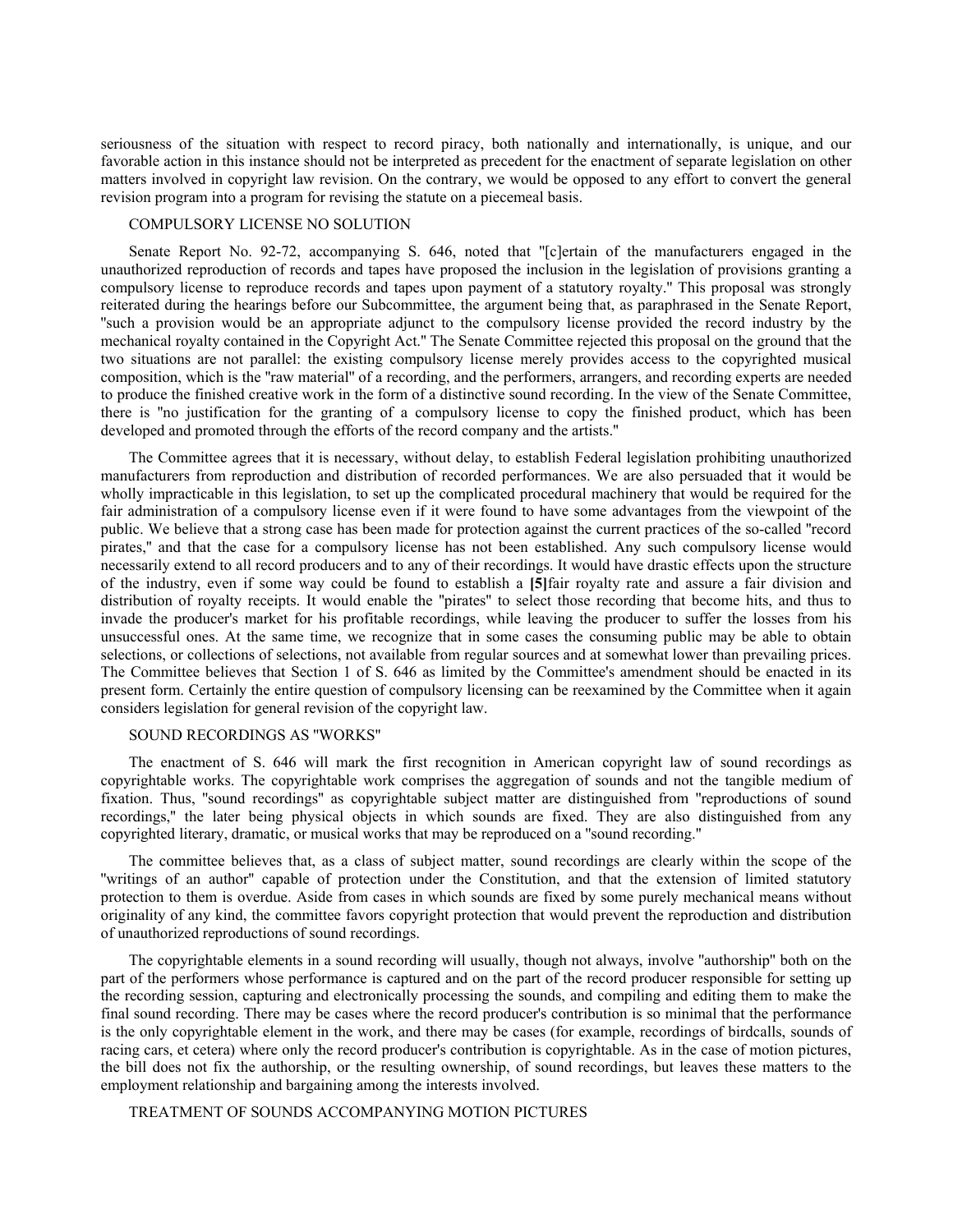seriousness of the situation with respect to record piracy, both nationally and internationally, is unique, and our favorable action in this instance should not be interpreted as precedent for the enactment of separate legislation on other matters involved in copyright law revision. On the contrary, we would be opposed to any effort to convert the general revision program into a program for revising the statute on a piecemeal basis.

# COMPULSORY LICENSE NO SOLUTION

Senate Report No. 92-72, accompanying S. 646, noted that "[c]ertain of the manufacturers engaged in the unauthorized reproduction of records and tapes have proposed the inclusion in the legislation of provisions granting a compulsory license to reproduce records and tapes upon payment of a statutory royalty.'' This proposal was strongly reiterated during the hearings before our Subcommittee, the argument being that, as paraphrased in the Senate Report, ''such a provision would be an appropriate adjunct to the compulsory license provided the record industry by the mechanical royalty contained in the Copyright Act.'' The Senate Committee rejected this proposal on the ground that the two situations are not parallel: the existing compulsory license merely provides access to the copyrighted musical composition, which is the ''raw material'' of a recording, and the performers, arrangers, and recording experts are needed to produce the finished creative work in the form of a distinctive sound recording. In the view of the Senate Committee, there is ''no justification for the granting of a compulsory license to copy the finished product, which has been developed and promoted through the efforts of the record company and the artists.''

The Committee agrees that it is necessary, without delay, to establish Federal legislation prohibiting unauthorized manufacturers from reproduction and distribution of recorded performances. We are also persuaded that it would be wholly impracticable in this legislation, to set up the complicated procedural machinery that would be required for the fair administration of a compulsory license even if it were found to have some advantages from the viewpoint of the public. We believe that a strong case has been made for protection against the current practices of the so-called ''record pirates,'' and that the case for a compulsory license has not been established. Any such compulsory license would necessarily extend to all record producers and to any of their recordings. It would have drastic effects upon the structure of the industry, even if some way could be found to establish a **[5]**fair royalty rate and assure a fair division and distribution of royalty receipts. It would enable the ''pirates'' to select those recording that become hits, and thus to invade the producer's market for his profitable recordings, while leaving the producer to suffer the losses from his unsuccessful ones. At the same time, we recognize that in some cases the consuming public may be able to obtain selections, or collections of selections, not available from regular sources and at somewhat lower than prevailing prices. The Committee believes that Section 1 of S. 646 as limited by the Committee's amendment should be enacted in its present form. Certainly the entire question of compulsory licensing can be reexamined by the Committee when it again considers legislation for general revision of the copyright law.

### SOUND RECORDINGS AS ''WORKS''

The enactment of S. 646 will mark the first recognition in American copyright law of sound recordings as copyrightable works. The copyrightable work comprises the aggregation of sounds and not the tangible medium of fixation. Thus, ''sound recordings'' as copyrightable subject matter are distinguished from ''reproductions of sound recordings,'' the later being physical objects in which sounds are fixed. They are also distinguished from any copyrighted literary, dramatic, or musical works that may be reproduced on a ''sound recording.''

The committee believes that, as a class of subject matter, sound recordings are clearly within the scope of the ''writings of an author'' capable of protection under the Constitution, and that the extension of limited statutory protection to them is overdue. Aside from cases in which sounds are fixed by some purely mechanical means without originality of any kind, the committee favors copyright protection that would prevent the reproduction and distribution of unauthorized reproductions of sound recordings.

The copyrightable elements in a sound recording will usually, though not always, involve ''authorship'' both on the part of the performers whose performance is captured and on the part of the record producer responsible for setting up the recording session, capturing and electronically processing the sounds, and compiling and editing them to make the final sound recording. There may be cases where the record producer's contribution is so minimal that the performance is the only copyrightable element in the work, and there may be cases (for example, recordings of birdcalls, sounds of racing cars, et cetera) where only the record producer's contribution is copyrightable. As in the case of motion pictures, the bill does not fix the authorship, or the resulting ownership, of sound recordings, but leaves these matters to the employment relationship and bargaining among the interests involved.

## TREATMENT OF SOUNDS ACCOMPANYING MOTION PICTURES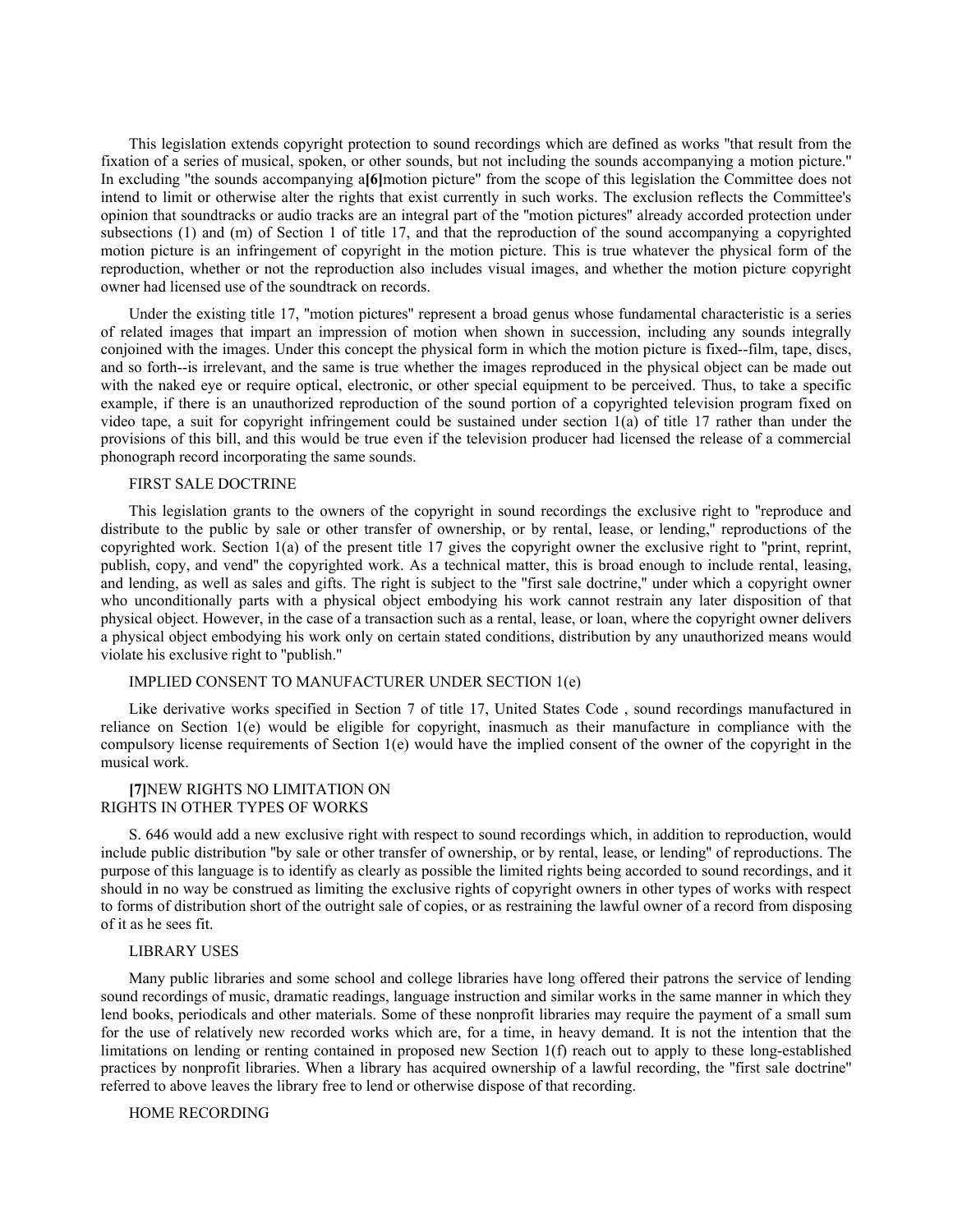This legislation extends copyright protection to sound recordings which are defined as works ''that result from the fixation of a series of musical, spoken, or other sounds, but not including the sounds accompanying a motion picture.'' In excluding ''the sounds accompanying a**[6]**motion picture'' from the scope of this legislation the Committee does not intend to limit or otherwise alter the rights that exist currently in such works. The exclusion reflects the Committee's opinion that soundtracks or audio tracks are an integral part of the ''motion pictures'' already accorded protection under subsections (1) and (m) of Section 1 of title 17, and that the reproduction of the sound accompanying a copyrighted motion picture is an infringement of copyright in the motion picture. This is true whatever the physical form of the reproduction, whether or not the reproduction also includes visual images, and whether the motion picture copyright owner had licensed use of the soundtrack on records.

Under the existing title 17, "motion pictures" represent a broad genus whose fundamental characteristic is a series of related images that impart an impression of motion when shown in succession, including any sounds integrally conjoined with the images. Under this concept the physical form in which the motion picture is fixed--film, tape, discs, and so forth--is irrelevant, and the same is true whether the images reproduced in the physical object can be made out with the naked eye or require optical, electronic, or other special equipment to be perceived. Thus, to take a specific example, if there is an unauthorized reproduction of the sound portion of a copyrighted television program fixed on video tape, a suit for copyright infringement could be sustained under section 1(a) of title 17 rather than under the provisions of this bill, and this would be true even if the television producer had licensed the release of a commercial phonograph record incorporating the same sounds.

### FIRST SALE DOCTRINE

This legislation grants to the owners of the copyright in sound recordings the exclusive right to ''reproduce and distribute to the public by sale or other transfer of ownership, or by rental, lease, or lending,'' reproductions of the copyrighted work. Section 1(a) of the present title 17 gives the copyright owner the exclusive right to ''print, reprint, publish, copy, and vend'' the copyrighted work. As a technical matter, this is broad enough to include rental, leasing, and lending, as well as sales and gifts. The right is subject to the ''first sale doctrine,'' under which a copyright owner who unconditionally parts with a physical object embodying his work cannot restrain any later disposition of that physical object. However, in the case of a transaction such as a rental, lease, or loan, where the copyright owner delivers a physical object embodying his work only on certain stated conditions, distribution by any unauthorized means would violate his exclusive right to ''publish.''

### IMPLIED CONSENT TO MANUFACTURER UNDER SECTION 1(e)

Like derivative works specified in Section 7 of title 17, United States Code , sound recordings manufactured in reliance on Section 1(e) would be eligible for copyright, inasmuch as their manufacture in compliance with the compulsory license requirements of Section 1(e) would have the implied consent of the owner of the copyright in the musical work.

# **[7]**NEW RIGHTS NO LIMITATION ON RIGHTS IN OTHER TYPES OF WORKS

S. 646 would add a new exclusive right with respect to sound recordings which, in addition to reproduction, would include public distribution ''by sale or other transfer of ownership, or by rental, lease, or lending'' of reproductions. The purpose of this language is to identify as clearly as possible the limited rights being accorded to sound recordings, and it should in no way be construed as limiting the exclusive rights of copyright owners in other types of works with respect to forms of distribution short of the outright sale of copies, or as restraining the lawful owner of a record from disposing of it as he sees fit.

### LIBRARY USES

Many public libraries and some school and college libraries have long offered their patrons the service of lending sound recordings of music, dramatic readings, language instruction and similar works in the same manner in which they lend books, periodicals and other materials. Some of these nonprofit libraries may require the payment of a small sum for the use of relatively new recorded works which are, for a time, in heavy demand. It is not the intention that the limitations on lending or renting contained in proposed new Section 1(f) reach out to apply to these long-established practices by nonprofit libraries. When a library has acquired ownership of a lawful recording, the ''first sale doctrine'' referred to above leaves the library free to lend or otherwise dispose of that recording.

## HOME RECORDING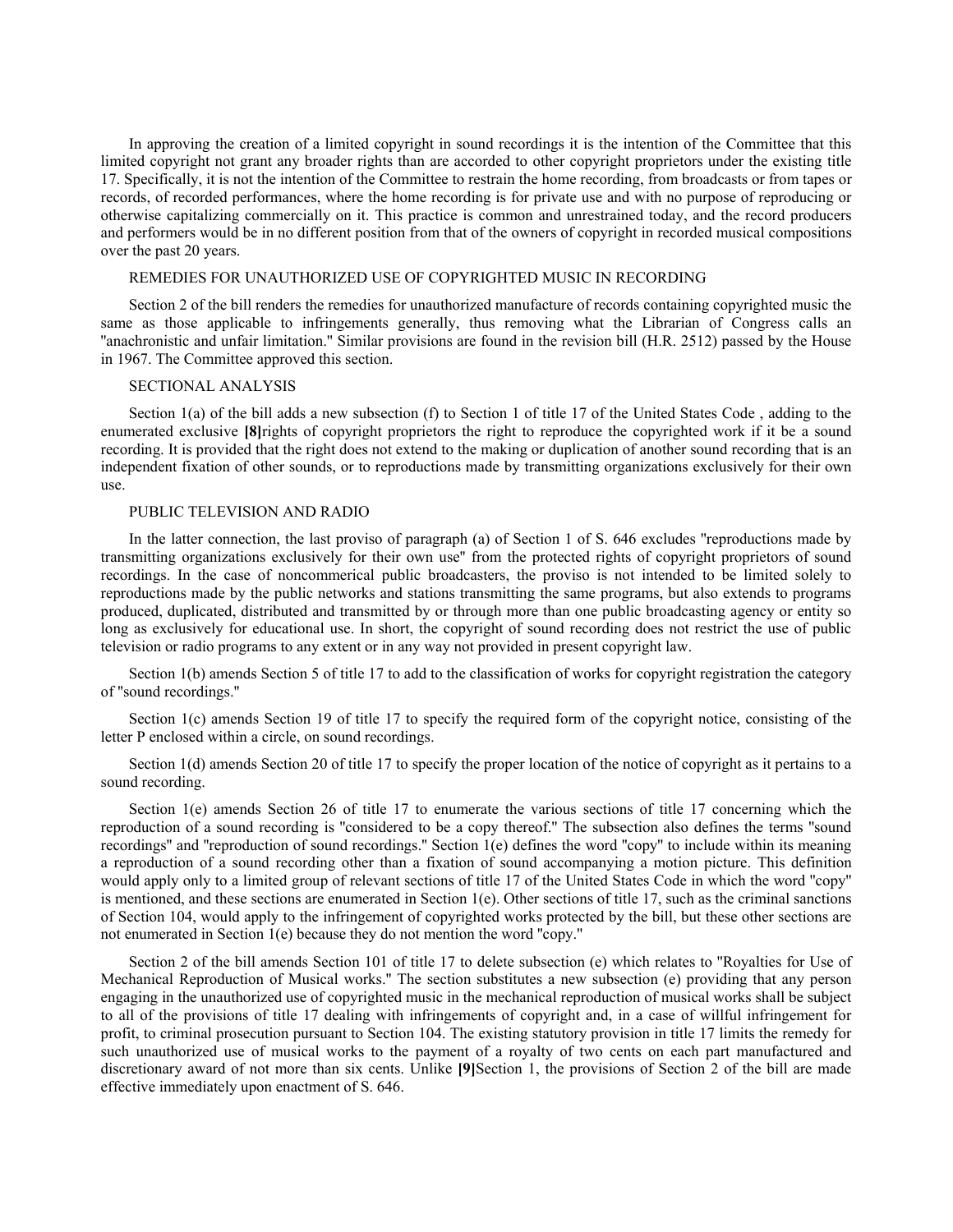In approving the creation of a limited copyright in sound recordings it is the intention of the Committee that this limited copyright not grant any broader rights than are accorded to other copyright proprietors under the existing title 17. Specifically, it is not the intention of the Committee to restrain the home recording, from broadcasts or from tapes or records, of recorded performances, where the home recording is for private use and with no purpose of reproducing or otherwise capitalizing commercially on it. This practice is common and unrestrained today, and the record producers and performers would be in no different position from that of the owners of copyright in recorded musical compositions over the past 20 years.

#### REMEDIES FOR UNAUTHORIZED USE OF COPYRIGHTED MUSIC IN RECORDING

Section 2 of the bill renders the remedies for unauthorized manufacture of records containing copyrighted music the same as those applicable to infringements generally, thus removing what the Librarian of Congress calls an ''anachronistic and unfair limitation.'' Similar provisions are found in the revision bill (H.R. 2512) passed by the House in 1967. The Committee approved this section.

### SECTIONAL ANALYSIS

Section 1(a) of the bill adds a new subsection (f) to Section 1 of title 17 of the United States Code , adding to the enumerated exclusive **[8]**rights of copyright proprietors the right to reproduce the copyrighted work if it be a sound recording. It is provided that the right does not extend to the making or duplication of another sound recording that is an independent fixation of other sounds, or to reproductions made by transmitting organizations exclusively for their own use.

## PUBLIC TELEVISION AND RADIO

In the latter connection, the last proviso of paragraph (a) of Section 1 of S. 646 excludes ''reproductions made by transmitting organizations exclusively for their own use'' from the protected rights of copyright proprietors of sound recordings. In the case of noncommerical public broadcasters, the proviso is not intended to be limited solely to reproductions made by the public networks and stations transmitting the same programs, but also extends to programs produced, duplicated, distributed and transmitted by or through more than one public broadcasting agency or entity so long as exclusively for educational use. In short, the copyright of sound recording does not restrict the use of public television or radio programs to any extent or in any way not provided in present copyright law.

Section 1(b) amends Section 5 of title 17 to add to the classification of works for copyright registration the category of ''sound recordings.''

Section 1(c) amends Section 19 of title 17 to specify the required form of the copyright notice, consisting of the letter P enclosed within a circle, on sound recordings.

Section 1(d) amends Section 20 of title 17 to specify the proper location of the notice of copyright as it pertains to a sound recording.

Section 1(e) amends Section 26 of title 17 to enumerate the various sections of title 17 concerning which the reproduction of a sound recording is ''considered to be a copy thereof.'' The subsection also defines the terms ''sound recordings'' and ''reproduction of sound recordings.'' Section 1(e) defines the word ''copy'' to include within its meaning a reproduction of a sound recording other than a fixation of sound accompanying a motion picture. This definition would apply only to a limited group of relevant sections of title 17 of the United States Code in which the word ''copy'' is mentioned, and these sections are enumerated in Section 1(e). Other sections of title 17, such as the criminal sanctions of Section 104, would apply to the infringement of copyrighted works protected by the bill, but these other sections are not enumerated in Section 1(e) because they do not mention the word ''copy.''

Section 2 of the bill amends Section 101 of title 17 to delete subsection (e) which relates to "Royalties for Use of Mechanical Reproduction of Musical works.'' The section substitutes a new subsection (e) providing that any person engaging in the unauthorized use of copyrighted music in the mechanical reproduction of musical works shall be subject to all of the provisions of title 17 dealing with infringements of copyright and, in a case of willful infringement for profit, to criminal prosecution pursuant to Section 104. The existing statutory provision in title 17 limits the remedy for such unauthorized use of musical works to the payment of a royalty of two cents on each part manufactured and discretionary award of not more than six cents. Unlike **[9]**Section 1, the provisions of Section 2 of the bill are made effective immediately upon enactment of S. 646.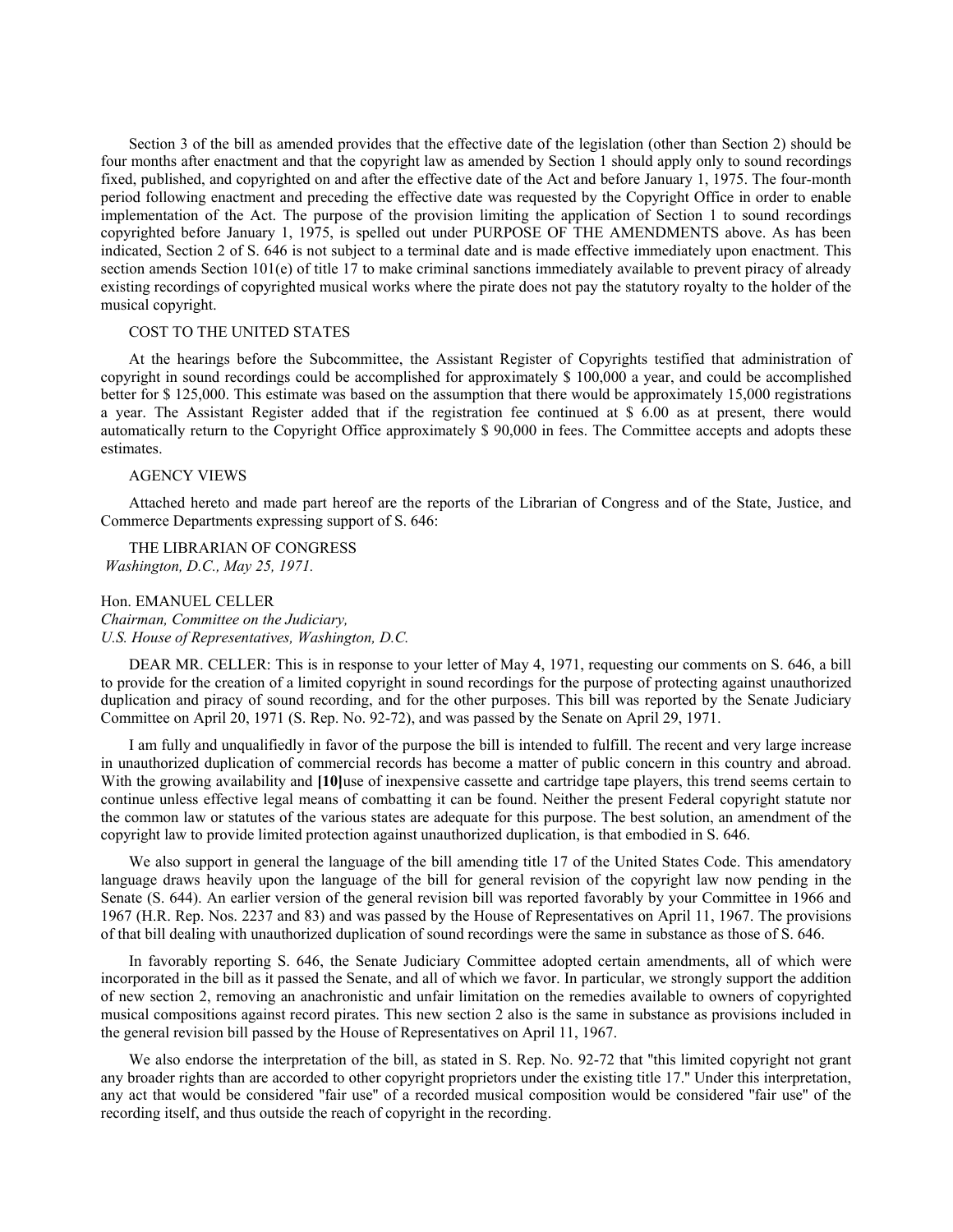Section 3 of the bill as amended provides that the effective date of the legislation (other than Section 2) should be four months after enactment and that the copyright law as amended by Section 1 should apply only to sound recordings fixed, published, and copyrighted on and after the effective date of the Act and before January 1, 1975. The four-month period following enactment and preceding the effective date was requested by the Copyright Office in order to enable implementation of the Act. The purpose of the provision limiting the application of Section 1 to sound recordings copyrighted before January 1, 1975, is spelled out under PURPOSE OF THE AMENDMENTS above. As has been indicated, Section 2 of S. 646 is not subject to a terminal date and is made effective immediately upon enactment. This section amends Section 101(e) of title 17 to make criminal sanctions immediately available to prevent piracy of already existing recordings of copyrighted musical works where the pirate does not pay the statutory royalty to the holder of the musical copyright.

### COST TO THE UNITED STATES

At the hearings before the Subcommittee, the Assistant Register of Copyrights testified that administration of copyright in sound recordings could be accomplished for approximately \$ 100,000 a year, and could be accomplished better for \$ 125,000. This estimate was based on the assumption that there would be approximately 15,000 registrations a year. The Assistant Register added that if the registration fee continued at \$ 6.00 as at present, there would automatically return to the Copyright Office approximately \$ 90,000 in fees. The Committee accepts and adopts these estimates.

#### AGENCY VIEWS

Attached hereto and made part hereof are the reports of the Librarian of Congress and of the State, Justice, and Commerce Departments expressing support of S. 646:

THE LIBRARIAN OF CONGRESS *Washington, D.C., May 25, 1971.*

Hon. EMANUEL CELLER *Chairman, Committee on the Judiciary, U.S. House of Representatives, Washington, D.C.*

DEAR MR. CELLER: This is in response to your letter of May 4, 1971, requesting our comments on S. 646, a bill to provide for the creation of a limited copyright in sound recordings for the purpose of protecting against unauthorized duplication and piracy of sound recording, and for the other purposes. This bill was reported by the Senate Judiciary Committee on April 20, 1971 (S. Rep. No. 92-72), and was passed by the Senate on April 29, 1971.

I am fully and unqualifiedly in favor of the purpose the bill is intended to fulfill. The recent and very large increase in unauthorized duplication of commercial records has become a matter of public concern in this country and abroad. With the growing availability and **[10]**use of inexpensive cassette and cartridge tape players, this trend seems certain to continue unless effective legal means of combatting it can be found. Neither the present Federal copyright statute nor the common law or statutes of the various states are adequate for this purpose. The best solution, an amendment of the copyright law to provide limited protection against unauthorized duplication, is that embodied in S. 646.

We also support in general the language of the bill amending title 17 of the United States Code. This amendatory language draws heavily upon the language of the bill for general revision of the copyright law now pending in the Senate (S. 644). An earlier version of the general revision bill was reported favorably by your Committee in 1966 and 1967 (H.R. Rep. Nos. 2237 and 83) and was passed by the House of Representatives on April 11, 1967. The provisions of that bill dealing with unauthorized duplication of sound recordings were the same in substance as those of S. 646.

In favorably reporting S. 646, the Senate Judiciary Committee adopted certain amendments, all of which were incorporated in the bill as it passed the Senate, and all of which we favor. In particular, we strongly support the addition of new section 2, removing an anachronistic and unfair limitation on the remedies available to owners of copyrighted musical compositions against record pirates. This new section 2 also is the same in substance as provisions included in the general revision bill passed by the House of Representatives on April 11, 1967.

We also endorse the interpretation of the bill, as stated in S. Rep. No. 92-72 that ''this limited copyright not grant any broader rights than are accorded to other copyright proprietors under the existing title 17.'' Under this interpretation, any act that would be considered ''fair use'' of a recorded musical composition would be considered ''fair use'' of the recording itself, and thus outside the reach of copyright in the recording.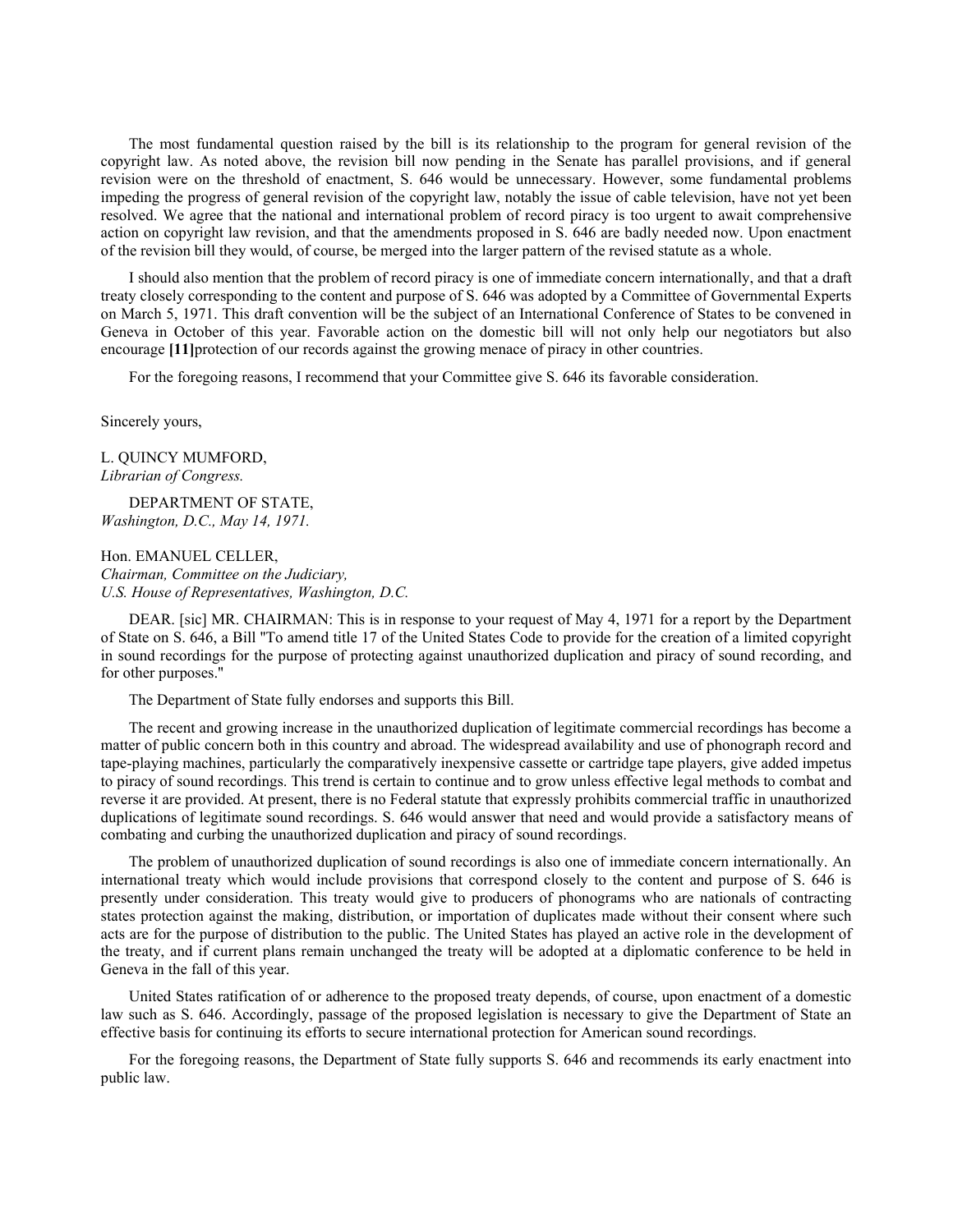The most fundamental question raised by the bill is its relationship to the program for general revision of the copyright law. As noted above, the revision bill now pending in the Senate has parallel provisions, and if general revision were on the threshold of enactment, S. 646 would be unnecessary. However, some fundamental problems impeding the progress of general revision of the copyright law, notably the issue of cable television, have not yet been resolved. We agree that the national and international problem of record piracy is too urgent to await comprehensive action on copyright law revision, and that the amendments proposed in S. 646 are badly needed now. Upon enactment of the revision bill they would, of course, be merged into the larger pattern of the revised statute as a whole.

I should also mention that the problem of record piracy is one of immediate concern internationally, and that a draft treaty closely corresponding to the content and purpose of S. 646 was adopted by a Committee of Governmental Experts on March 5, 1971. This draft convention will be the subject of an International Conference of States to be convened in Geneva in October of this year. Favorable action on the domestic bill will not only help our negotiators but also encourage **[11]**protection of our records against the growing menace of piracy in other countries.

For the foregoing reasons, I recommend that your Committee give S. 646 its favorable consideration.

Sincerely yours,

L. QUINCY MUMFORD, *Librarian of Congress.*

DEPARTMENT OF STATE, *Washington, D.C., May 14, 1971.*

Hon. EMANUEL CELLER, *Chairman, Committee on the Judiciary, U.S. House of Representatives, Washington, D.C.*

DEAR. [sic] MR. CHAIRMAN: This is in response to your request of May 4, 1971 for a report by the Department of State on S. 646, a Bill ''To amend title 17 of the United States Code to provide for the creation of a limited copyright in sound recordings for the purpose of protecting against unauthorized duplication and piracy of sound recording, and for other purposes.''

The Department of State fully endorses and supports this Bill.

The recent and growing increase in the unauthorized duplication of legitimate commercial recordings has become a matter of public concern both in this country and abroad. The widespread availability and use of phonograph record and tape-playing machines, particularly the comparatively inexpensive cassette or cartridge tape players, give added impetus to piracy of sound recordings. This trend is certain to continue and to grow unless effective legal methods to combat and reverse it are provided. At present, there is no Federal statute that expressly prohibits commercial traffic in unauthorized duplications of legitimate sound recordings. S. 646 would answer that need and would provide a satisfactory means of combating and curbing the unauthorized duplication and piracy of sound recordings.

The problem of unauthorized duplication of sound recordings is also one of immediate concern internationally. An international treaty which would include provisions that correspond closely to the content and purpose of S. 646 is presently under consideration. This treaty would give to producers of phonograms who are nationals of contracting states protection against the making, distribution, or importation of duplicates made without their consent where such acts are for the purpose of distribution to the public. The United States has played an active role in the development of the treaty, and if current plans remain unchanged the treaty will be adopted at a diplomatic conference to be held in Geneva in the fall of this year.

United States ratification of or adherence to the proposed treaty depends, of course, upon enactment of a domestic law such as S. 646. Accordingly, passage of the proposed legislation is necessary to give the Department of State an effective basis for continuing its efforts to secure international protection for American sound recordings.

For the foregoing reasons, the Department of State fully supports S. 646 and recommends its early enactment into public law.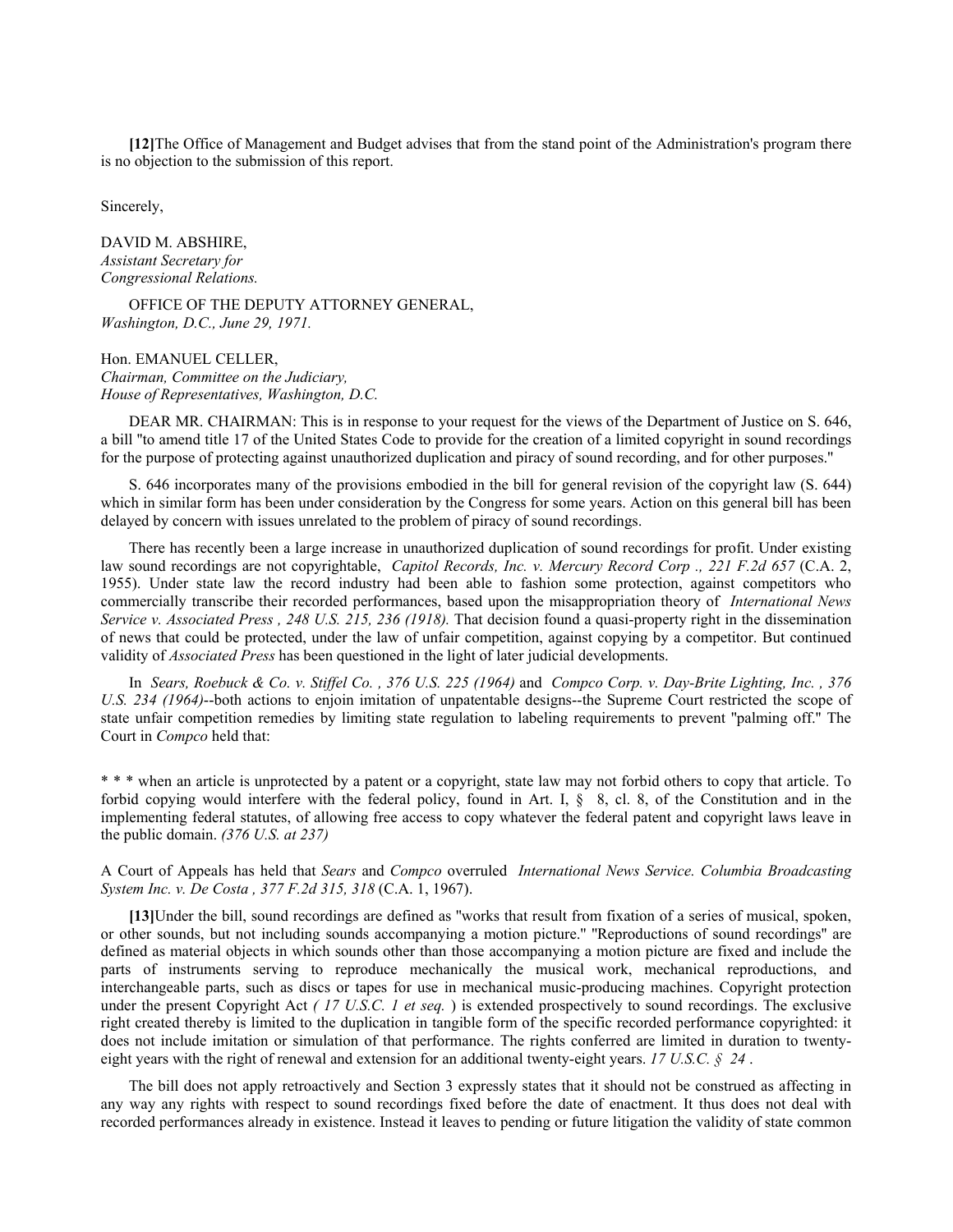**[12]**The Office of Management and Budget advises that from the stand point of the Administration's program there is no objection to the submission of this report.

Sincerely,

DAVID M. ABSHIRE, *Assistant Secretary for Congressional Relations.*

OFFICE OF THE DEPUTY ATTORNEY GENERAL, *Washington, D.C., June 29, 1971.*

Hon. EMANUEL CELLER, *Chairman, Committee on the Judiciary, House of Representatives, Washington, D.C.*

DEAR MR. CHAIRMAN: This is in response to your request for the views of the Department of Justice on S. 646, a bill ''to amend title 17 of the United States Code to provide for the creation of a limited copyright in sound recordings for the purpose of protecting against unauthorized duplication and piracy of sound recording, and for other purposes.''

S. 646 incorporates many of the provisions embodied in the bill for general revision of the copyright law (S. 644) which in similar form has been under consideration by the Congress for some years. Action on this general bill has been delayed by concern with issues unrelated to the problem of piracy of sound recordings.

There has recently been a large increase in unauthorized duplication of sound recordings for profit. Under existing law sound recordings are not copyrightable, *Capitol Records, Inc. v. Mercury Record Corp ., 221 F.2d 657* (C.A. 2, 1955). Under state law the record industry had been able to fashion some protection, against competitors who commercially transcribe their recorded performances, based upon the misappropriation theory of *International News Service v. Associated Press , 248 U.S. 215, 236 (1918).* That decision found a quasi-property right in the dissemination of news that could be protected, under the law of unfair competition, against copying by a competitor. But continued validity of *Associated Press* has been questioned in the light of later judicial developments.

In *Sears, Roebuck & Co. v. Stiffel Co. , 376 U.S. 225 (1964)* and *Compco Corp. v. Day-Brite Lighting, Inc. , 376 U.S. 234 (1964)*--both actions to enjoin imitation of unpatentable designs--the Supreme Court restricted the scope of state unfair competition remedies by limiting state regulation to labeling requirements to prevent ''palming off.'' The Court in *Compco* held that:

\* \* \* when an article is unprotected by a patent or a copyright, state law may not forbid others to copy that article. To forbid copying would interfere with the federal policy, found in Art. I,  $\S$  8, cl. 8, of the Constitution and in the implementing federal statutes, of allowing free access to copy whatever the federal patent and copyright laws leave in the public domain. *(376 U.S. at 237)*

A Court of Appeals has held that *Sears* and *Compco* overruled *International News Service. Columbia Broadcasting System Inc. v. De Costa , 377 F.2d 315, 318* (C.A. 1, 1967).

**[13]**Under the bill, sound recordings are defined as ''works that result from fixation of a series of musical, spoken, or other sounds, but not including sounds accompanying a motion picture.'' ''Reproductions of sound recordings'' are defined as material objects in which sounds other than those accompanying a motion picture are fixed and include the parts of instruments serving to reproduce mechanically the musical work, mechanical reproductions, and interchangeable parts, such as discs or tapes for use in mechanical music-producing machines. Copyright protection under the present Copyright Act *( 17 U.S.C. 1 et seq.* ) is extended prospectively to sound recordings. The exclusive right created thereby is limited to the duplication in tangible form of the specific recorded performance copyrighted: it does not include imitation or simulation of that performance. The rights conferred are limited in duration to twentyeight years with the right of renewal and extension for an additional twenty-eight years. *17 U.S.C. § 24* .

The bill does not apply retroactively and Section 3 expressly states that it should not be construed as affecting in any way any rights with respect to sound recordings fixed before the date of enactment. It thus does not deal with recorded performances already in existence. Instead it leaves to pending or future litigation the validity of state common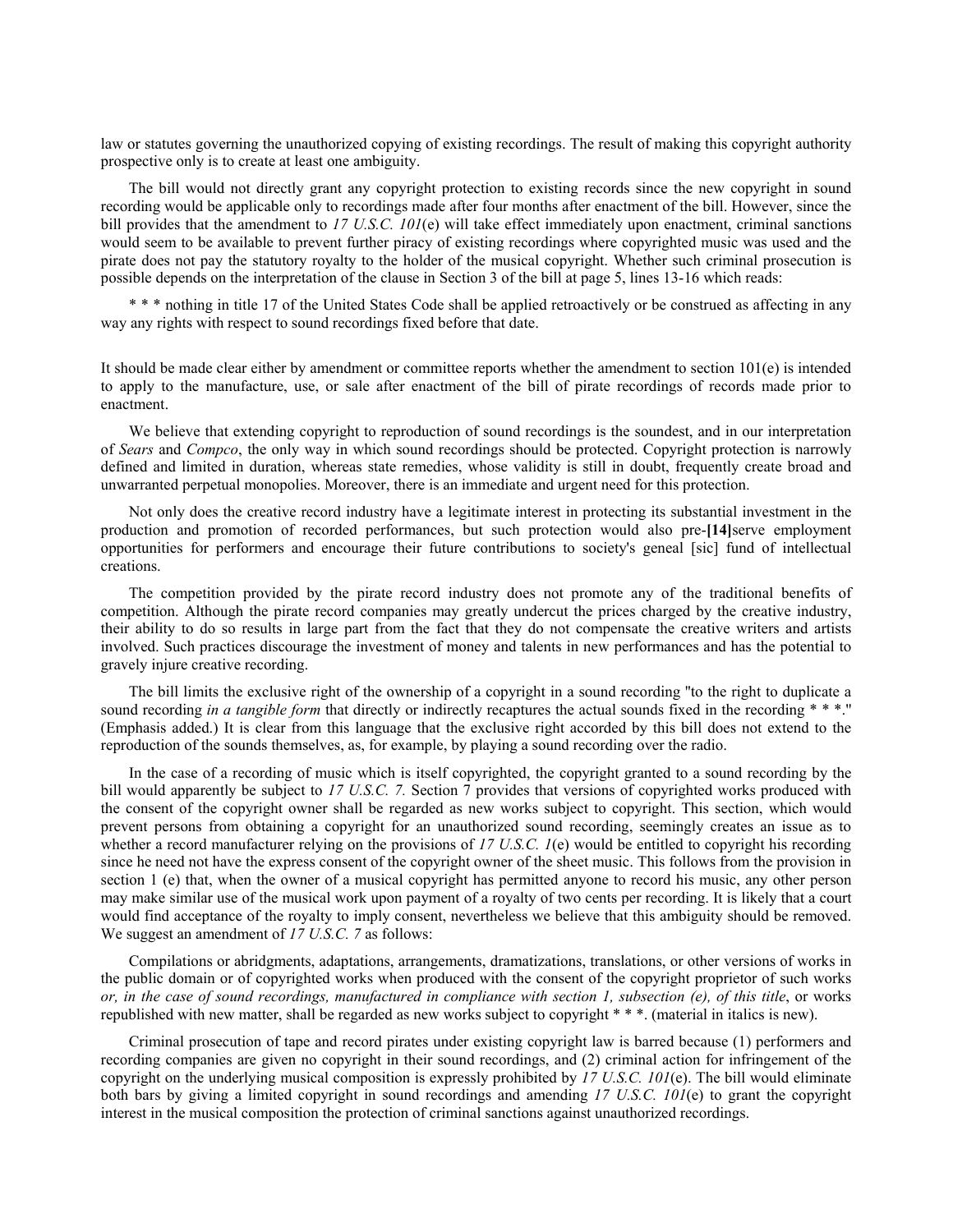law or statutes governing the unauthorized copying of existing recordings. The result of making this copyright authority prospective only is to create at least one ambiguity.

The bill would not directly grant any copyright protection to existing records since the new copyright in sound recording would be applicable only to recordings made after four months after enactment of the bill. However, since the bill provides that the amendment to *17 U.S.C. 101*(e) will take effect immediately upon enactment, criminal sanctions would seem to be available to prevent further piracy of existing recordings where copyrighted music was used and the pirate does not pay the statutory royalty to the holder of the musical copyright. Whether such criminal prosecution is possible depends on the interpretation of the clause in Section 3 of the bill at page 5, lines 13-16 which reads:

\* \* \* nothing in title 17 of the United States Code shall be applied retroactively or be construed as affecting in any way any rights with respect to sound recordings fixed before that date.

It should be made clear either by amendment or committee reports whether the amendment to section  $101(e)$  is intended to apply to the manufacture, use, or sale after enactment of the bill of pirate recordings of records made prior to enactment.

We believe that extending copyright to reproduction of sound recordings is the soundest, and in our interpretation of *Sears* and *Compco*, the only way in which sound recordings should be protected. Copyright protection is narrowly defined and limited in duration, whereas state remedies, whose validity is still in doubt, frequently create broad and unwarranted perpetual monopolies. Moreover, there is an immediate and urgent need for this protection.

Not only does the creative record industry have a legitimate interest in protecting its substantial investment in the production and promotion of recorded performances, but such protection would also pre-**[14]**serve employment opportunities for performers and encourage their future contributions to society's geneal [sic] fund of intellectual creations.

The competition provided by the pirate record industry does not promote any of the traditional benefits of competition. Although the pirate record companies may greatly undercut the prices charged by the creative industry, their ability to do so results in large part from the fact that they do not compensate the creative writers and artists involved. Such practices discourage the investment of money and talents in new performances and has the potential to gravely injure creative recording.

The bill limits the exclusive right of the ownership of a copyright in a sound recording ''to the right to duplicate a sound recording *in a tangible form* that directly or indirectly recaptures the actual sounds fixed in the recording \* \* \*." (Emphasis added.) It is clear from this language that the exclusive right accorded by this bill does not extend to the reproduction of the sounds themselves, as, for example, by playing a sound recording over the radio.

In the case of a recording of music which is itself copyrighted, the copyright granted to a sound recording by the bill would apparently be subject to *17 U.S.C. 7.* Section 7 provides that versions of copyrighted works produced with the consent of the copyright owner shall be regarded as new works subject to copyright. This section, which would prevent persons from obtaining a copyright for an unauthorized sound recording, seemingly creates an issue as to whether a record manufacturer relying on the provisions of 17 U.S.C. 1(e) would be entitled to copyright his recording since he need not have the express consent of the copyright owner of the sheet music. This follows from the provision in section 1 (e) that, when the owner of a musical copyright has permitted anyone to record his music, any other person may make similar use of the musical work upon payment of a royalty of two cents per recording. It is likely that a court would find acceptance of the royalty to imply consent, nevertheless we believe that this ambiguity should be removed. We suggest an amendment of *17 U.S.C. 7* as follows:

Compilations or abridgments, adaptations, arrangements, dramatizations, translations, or other versions of works in the public domain or of copyrighted works when produced with the consent of the copyright proprietor of such works *or, in the case of sound recordings, manufactured in compliance with section 1, subsection (e), of this title*, or works republished with new matter, shall be regarded as new works subject to copyright \* \* \*. (material in italics is new).

Criminal prosecution of tape and record pirates under existing copyright law is barred because (1) performers and recording companies are given no copyright in their sound recordings, and (2) criminal action for infringement of the copyright on the underlying musical composition is expressly prohibited by *17 U.S.C. 101*(e). The bill would eliminate both bars by giving a limited copyright in sound recordings and amending *17 U.S.C. 101*(e) to grant the copyright interest in the musical composition the protection of criminal sanctions against unauthorized recordings.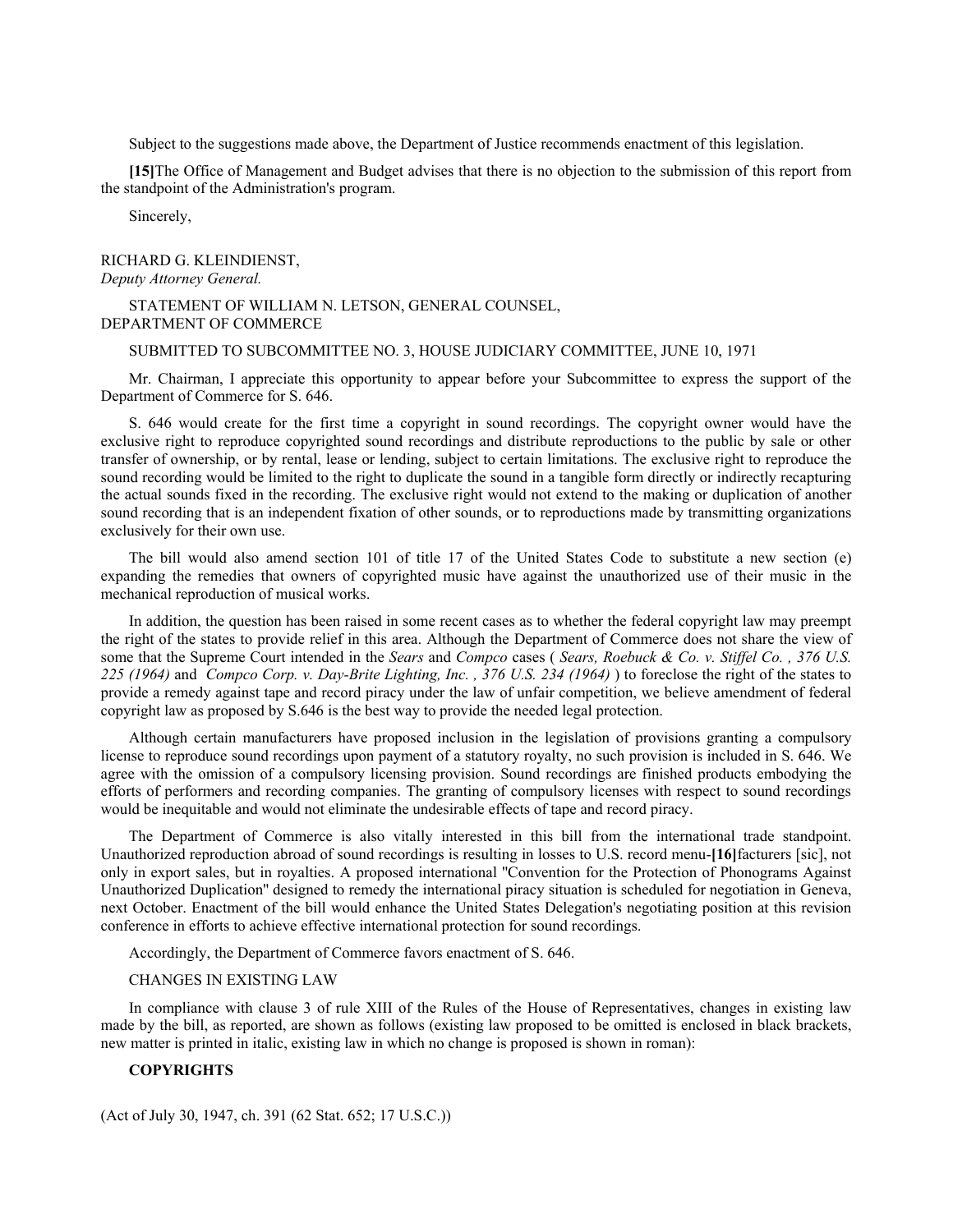Subject to the suggestions made above, the Department of Justice recommends enactment of this legislation.

**[15]**The Office of Management and Budget advises that there is no objection to the submission of this report from the standpoint of the Administration's program.

Sincerely,

RICHARD G. KLEINDIENST, *Deputy Attorney General.*

STATEMENT OF WILLIAM N. LETSON, GENERAL COUNSEL, DEPARTMENT OF COMMERCE

SUBMITTED TO SUBCOMMITTEE NO. 3, HOUSE JUDICIARY COMMITTEE, JUNE 10, 1971

Mr. Chairman, I appreciate this opportunity to appear before your Subcommittee to express the support of the Department of Commerce for S. 646.

S. 646 would create for the first time a copyright in sound recordings. The copyright owner would have the exclusive right to reproduce copyrighted sound recordings and distribute reproductions to the public by sale or other transfer of ownership, or by rental, lease or lending, subject to certain limitations. The exclusive right to reproduce the sound recording would be limited to the right to duplicate the sound in a tangible form directly or indirectly recapturing the actual sounds fixed in the recording. The exclusive right would not extend to the making or duplication of another sound recording that is an independent fixation of other sounds, or to reproductions made by transmitting organizations exclusively for their own use.

The bill would also amend section 101 of title 17 of the United States Code to substitute a new section (e) expanding the remedies that owners of copyrighted music have against the unauthorized use of their music in the mechanical reproduction of musical works.

In addition, the question has been raised in some recent cases as to whether the federal copyright law may preempt the right of the states to provide relief in this area. Although the Department of Commerce does not share the view of some that the Supreme Court intended in the *Sears* and *Compco* cases ( *Sears, Roebuck & Co. v. Stiffel Co. , 376 U.S. 225 (1964)* and *Compco Corp. v. Day-Brite Lighting, Inc. , 376 U.S. 234 (1964)* ) to foreclose the right of the states to provide a remedy against tape and record piracy under the law of unfair competition, we believe amendment of federal copyright law as proposed by S.646 is the best way to provide the needed legal protection.

Although certain manufacturers have proposed inclusion in the legislation of provisions granting a compulsory license to reproduce sound recordings upon payment of a statutory royalty, no such provision is included in S. 646. We agree with the omission of a compulsory licensing provision. Sound recordings are finished products embodying the efforts of performers and recording companies. The granting of compulsory licenses with respect to sound recordings would be inequitable and would not eliminate the undesirable effects of tape and record piracy.

The Department of Commerce is also vitally interested in this bill from the international trade standpoint. Unauthorized reproduction abroad of sound recordings is resulting in losses to U.S. record menu-**[16]**facturers [sic], not only in export sales, but in royalties. A proposed international ''Convention for the Protection of Phonograms Against Unauthorized Duplication'' designed to remedy the international piracy situation is scheduled for negotiation in Geneva, next October. Enactment of the bill would enhance the United States Delegation's negotiating position at this revision conference in efforts to achieve effective international protection for sound recordings.

Accordingly, the Department of Commerce favors enactment of S. 646.

### CHANGES IN EXISTING LAW

In compliance with clause 3 of rule XIII of the Rules of the House of Representatives, changes in existing law made by the bill, as reported, are shown as follows (existing law proposed to be omitted is enclosed in black brackets, new matter is printed in italic, existing law in which no change is proposed is shown in roman):

# **COPYRIGHTS**

(Act of July 30, 1947, ch. 391 (62 Stat. 652; 17 U.S.C.))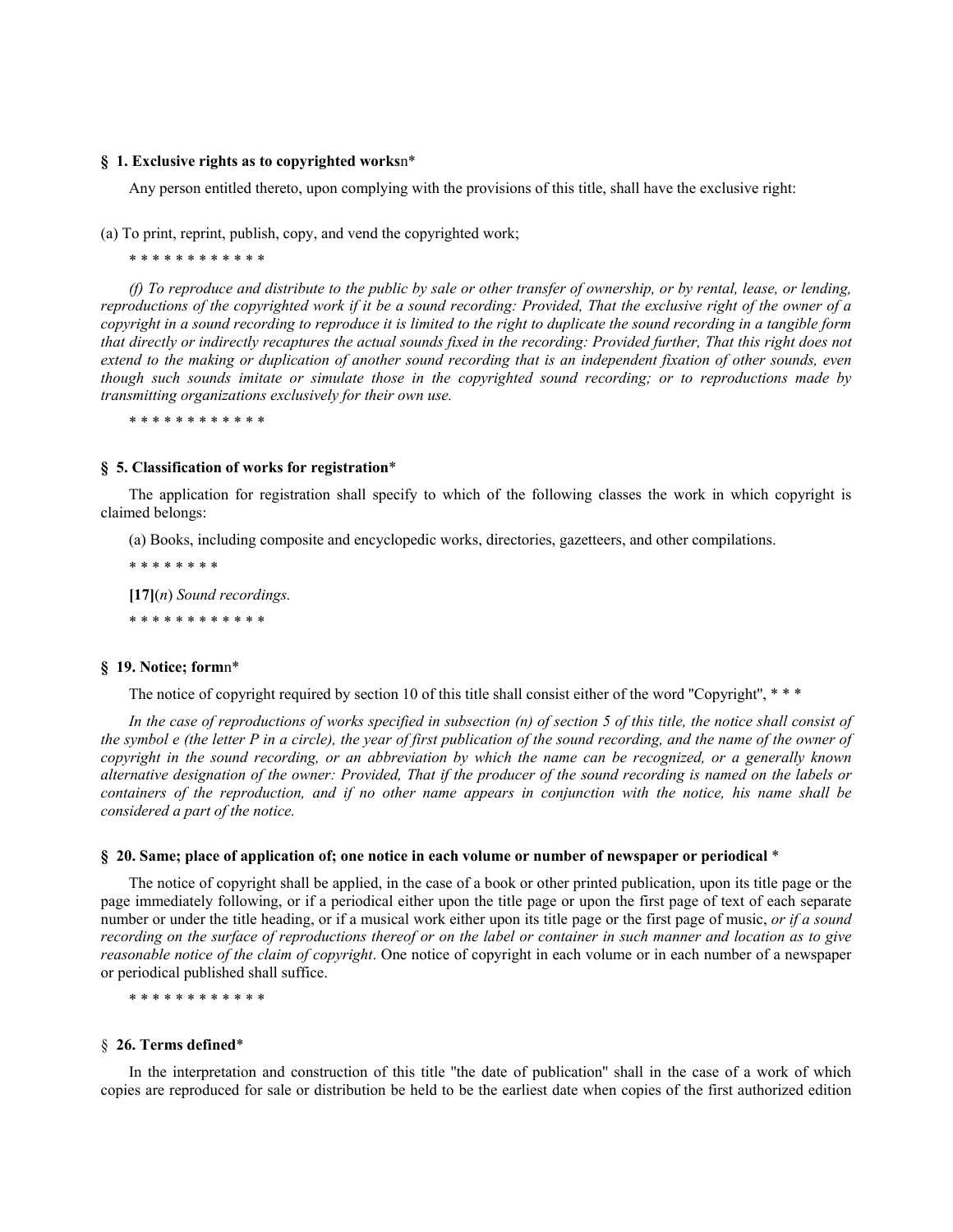### **§ 1. Exclusive rights as to copyrighted works**n\*

Any person entitled thereto, upon complying with the provisions of this title, shall have the exclusive right:

(a) To print, reprint, publish, copy, and vend the copyrighted work;

\* \* \* \* \* \* \* \* \* \* \* \*

*(f) To reproduce and distribute to the public by sale or other transfer of ownership, or by rental, lease, or lending, reproductions of the copyrighted work if it be a sound recording: Provided, That the exclusive right of the owner of a copyright in a sound recording to reproduce it is limited to the right to duplicate the sound recording in a tangible form that directly or indirectly recaptures the actual sounds fixed in the recording: Provided further, That this right does not extend to the making or duplication of another sound recording that is an independent fixation of other sounds, even though such sounds imitate or simulate those in the copyrighted sound recording; or to reproductions made by transmitting organizations exclusively for their own use.*

\* \* \* \* \* \* \* \* \* \* \* \*

#### **§ 5. Classification of works for registration**\*

The application for registration shall specify to which of the following classes the work in which copyright is claimed belongs:

(a) Books, including composite and encyclopedic works, directories, gazetteers, and other compilations.

\* \* \* \* \* \* \* \*

**[17]**(*n*) *Sound recordings.*

\* \* \* \* \* \* \* \* \* \* \* \*

# **§ 19. Notice; form**n\*

The notice of copyright required by section 10 of this title shall consist either of the word "Copyright", \* \* \*

*In the case of reproductions of works specified in subsection (n) of section 5 of this title, the notice shall consist of the symbol e (the letter P in a circle), the year of first publication of the sound recording, and the name of the owner of copyright in the sound recording, or an abbreviation by which the name can be recognized, or a generally known alternative designation of the owner: Provided, That if the producer of the sound recording is named on the labels or containers of the reproduction, and if no other name appears in conjunction with the notice, his name shall be considered a part of the notice.*

### **§ 20. Same; place of application of; one notice in each volume or number of newspaper or periodical** \*

The notice of copyright shall be applied, in the case of a book or other printed publication, upon its title page or the page immediately following, or if a periodical either upon the title page or upon the first page of text of each separate number or under the title heading, or if a musical work either upon its title page or the first page of music, *or if a sound recording on the surface of reproductions thereof or on the label or container in such manner and location as to give reasonable notice of the claim of copyright*. One notice of copyright in each volume or in each number of a newspaper or periodical published shall suffice.

\* \* \* \* \* \* \* \* \* \* \* \*

### § **26. Terms defined**\*

In the interpretation and construction of this title "the date of publication" shall in the case of a work of which copies are reproduced for sale or distribution be held to be the earliest date when copies of the first authorized edition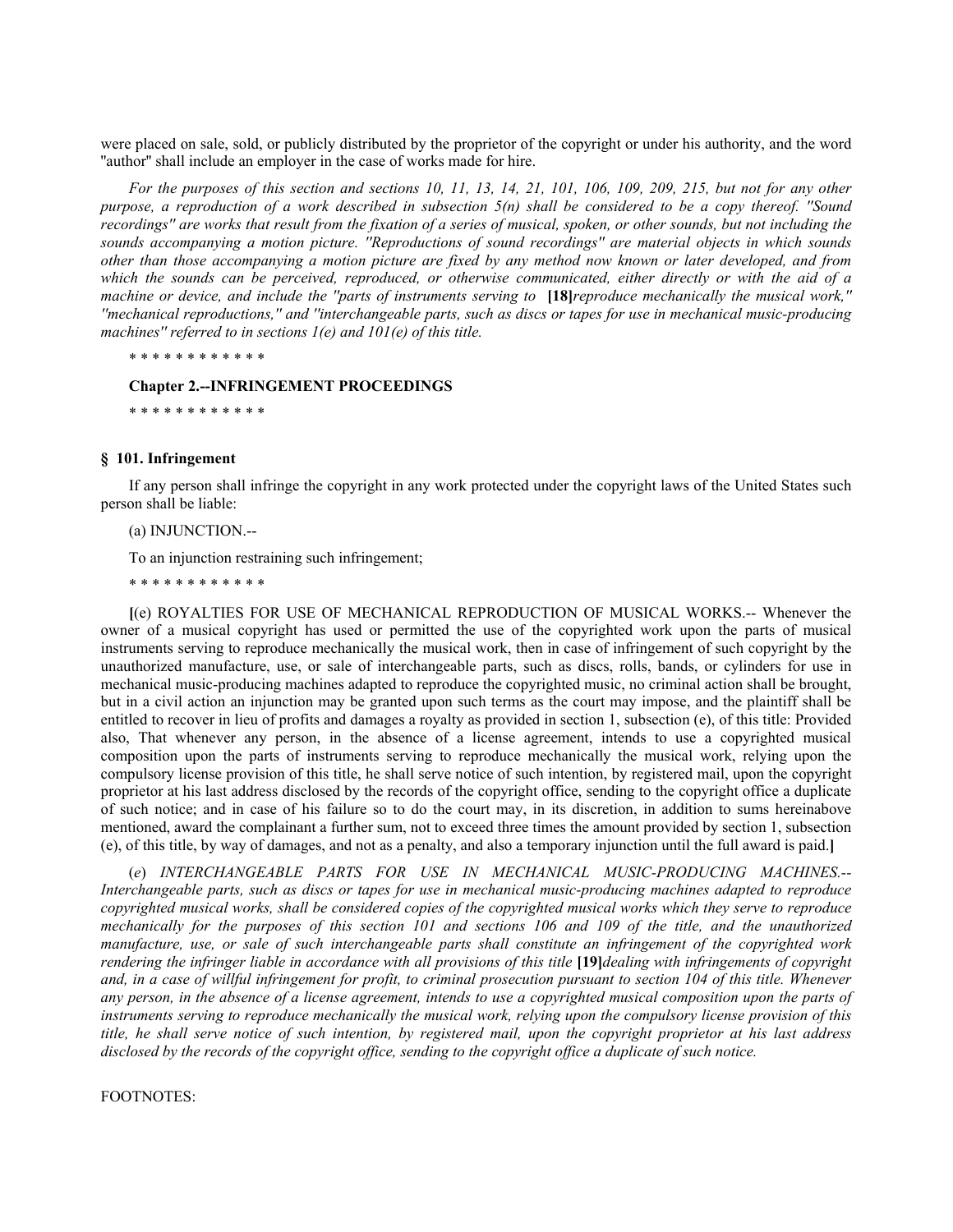were placed on sale, sold, or publicly distributed by the proprietor of the copyright or under his authority, and the word "author" shall include an employer in the case of works made for hire.

*For the purposes of this section and sections 10, 11, 13, 14, 21, 101, 106, 109, 209, 215, but not for any other purpose, a reproduction of a work described in subsection 5(n) shall be considered to be a copy thereof. ''Sound recordings'' are works that result from the fixation of a series of musical, spoken, or other sounds, but not including the sounds accompanying a motion picture. ''Reproductions of sound recordings'' are material objects in which sounds other than those accompanying a motion picture are fixed by any method now known or later developed, and from which the sounds can be perceived, reproduced, or otherwise communicated, either directly or with the aid of a machine or device, and include the ''parts of instruments serving to* **[18]***reproduce mechanically the musical work,'' ''mechanical reproductions,'' and ''interchangeable parts, such as discs or tapes for use in mechanical music-producing machines'' referred to in sections 1(e) and 101(e) of this title.*

\* \* \* \* \* \* \* \* \* \* \* \*

#### **Chapter 2.--INFRINGEMENT PROCEEDINGS**

\* \* \* \* \* \* \* \* \* \* \* \*

### **§ 101. Infringement**

If any person shall infringe the copyright in any work protected under the copyright laws of the United States such person shall be liable:

(a) INJUNCTION.--

To an injunction restraining such infringement;

\* \* \* \* \* \* \* \* \* \* \* \*

**[**(e) ROYALTIES FOR USE OF MECHANICAL REPRODUCTION OF MUSICAL WORKS.-- Whenever the owner of a musical copyright has used or permitted the use of the copyrighted work upon the parts of musical instruments serving to reproduce mechanically the musical work, then in case of infringement of such copyright by the unauthorized manufacture, use, or sale of interchangeable parts, such as discs, rolls, bands, or cylinders for use in mechanical music-producing machines adapted to reproduce the copyrighted music, no criminal action shall be brought, but in a civil action an injunction may be granted upon such terms as the court may impose, and the plaintiff shall be entitled to recover in lieu of profits and damages a royalty as provided in section 1, subsection (e), of this title: Provided also, That whenever any person, in the absence of a license agreement, intends to use a copyrighted musical composition upon the parts of instruments serving to reproduce mechanically the musical work, relying upon the compulsory license provision of this title, he shall serve notice of such intention, by registered mail, upon the copyright proprietor at his last address disclosed by the records of the copyright office, sending to the copyright office a duplicate of such notice; and in case of his failure so to do the court may, in its discretion, in addition to sums hereinabove mentioned, award the complainant a further sum, not to exceed three times the amount provided by section 1, subsection (e), of this title, by way of damages, and not as a penalty, and also a temporary injunction until the full award is paid.**]**

(*e*) *INTERCHANGEABLE PARTS FOR USE IN MECHANICAL MUSIC-PRODUCING MACHINES.-- Interchangeable parts, such as discs or tapes for use in mechanical music-producing machines adapted to reproduce copyrighted musical works, shall be considered copies of the copyrighted musical works which they serve to reproduce*  mechanically for the purposes of this section 101 and sections 106 and 109 of the title, and the unauthorized *manufacture, use, or sale of such interchangeable parts shall constitute an infringement of the copyrighted work rendering the infringer liable in accordance with all provisions of this title* **[19]***dealing with infringements of copyright and, in a case of willful infringement for profit, to criminal prosecution pursuant to section 104 of this title. Whenever any person, in the absence of a license agreement, intends to use a copyrighted musical composition upon the parts of instruments serving to reproduce mechanically the musical work, relying upon the compulsory license provision of this title, he shall serve notice of such intention, by registered mail, upon the copyright proprietor at his last address disclosed by the records of the copyright office, sending to the copyright office a duplicate of such notice.*

### FOOTNOTES: